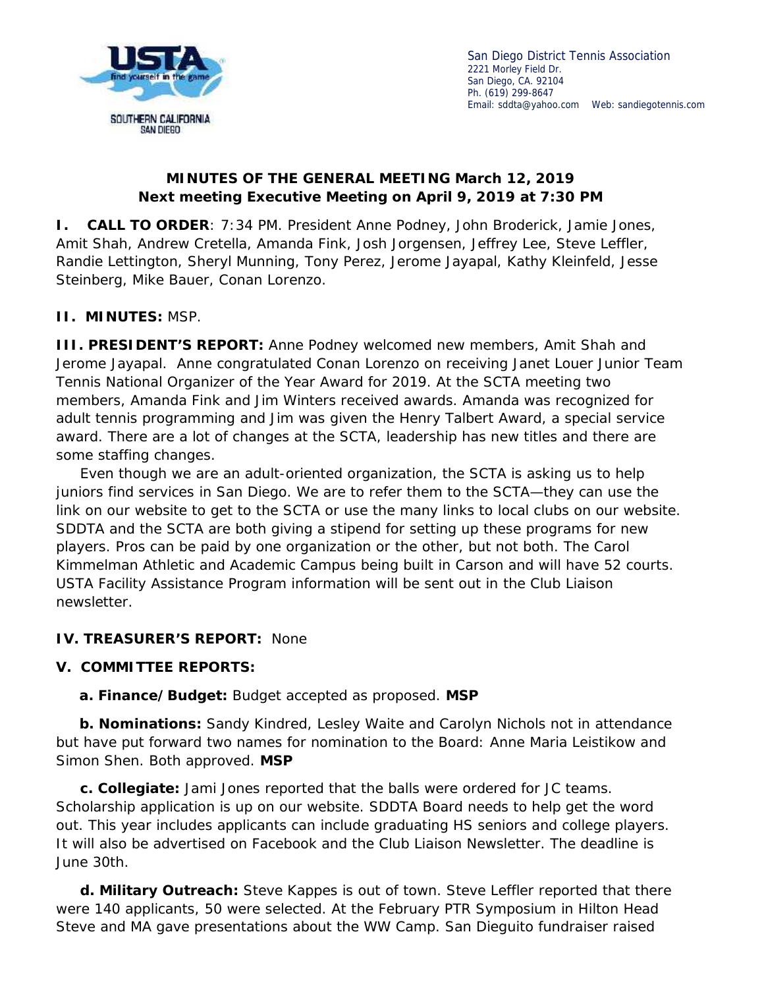

San Diego District Tennis Association 2221 Morley Field Dr. San Diego, CA. 92104 Ph. (619) 299-8647 Email: sddta@yahoo.com Web: sandiegotennis.com

## **MINUTES OF THE GENERAL MEETING March 12, 2019 Next meeting Executive Meeting on April 9, 2019 at 7:30 PM**

**I. CALL TO ORDER**: 7:34 PM. President Anne Podney, John Broderick, Jamie Jones, Amit Shah, Andrew Cretella, Amanda Fink, Josh Jorgensen, Jeffrey Lee, Steve Leffler, Randie Lettington, Sheryl Munning, Tony Perez, Jerome Jayapal, Kathy Kleinfeld, Jesse Steinberg, Mike Bauer, Conan Lorenzo.

## **II. MINUTES:** MSP.

**III. PRESIDENT'S REPORT:** Anne Podney welcomed new members, Amit Shah and Jerome Jayapal. Anne congratulated Conan Lorenzo on receiving Janet Louer Junior Team Tennis National Organizer of the Year Award for 2019. At the SCTA meeting two members, Amanda Fink and Jim Winters received awards. Amanda was recognized for adult tennis programming and Jim was given the Henry Talbert Award, a special service award. There are a lot of changes at the SCTA, leadership has new titles and there are some staffing changes.

Even though we are an adult-oriented organization, the SCTA is asking us to help juniors find services in San Diego. We are to refer them to the SCTA—they can use the link on our website to get to the SCTA or use the many links to local clubs on our website. SDDTA and the SCTA are both giving a stipend for setting up these programs for new players. Pros can be paid by one organization or the other, but not both. The Carol Kimmelman Athletic and Academic Campus being built in Carson and will have 52 courts. USTA Facility Assistance Program information will be sent out in the Club Liaison newsletter.

#### **IV. TREASURER'S REPORT:** None

## **V. COMMITTEE REPORTS:**

**a. Finance/Budget:** Budget accepted as proposed. **MSP**

**b. Nominations:** Sandy Kindred, Lesley Waite and Carolyn Nichols not in attendance but have put forward two names for nomination to the Board: Anne Maria Leistikow and Simon Shen. Both approved. **MSP**

**c. Collegiate:** Jami Jones reported that the balls were ordered for JC teams. Scholarship application is up on our website. SDDTA Board needs to help get the word out. This year includes applicants can include graduating HS seniors and college players. It will also be advertised on Facebook and the Club Liaison Newsletter. The deadline is June 30th.

**d. Military Outreach:** Steve Kappes is out of town. Steve Leffler reported that there were 140 applicants, 50 were selected. At the February PTR Symposium in Hilton Head Steve and MA gave presentations about the WW Camp. San Dieguito fundraiser raised